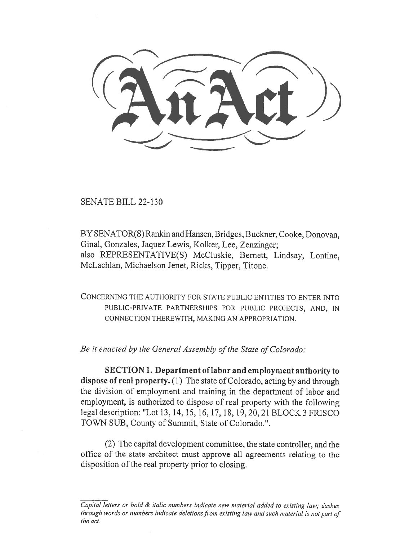SENATE BILL 22-130

BY SENATOR(S) Rankin and Hansen, Bridges, Buckner, Cooke, Donovan, Ginal, Gonzales, Jaquez Lewis, Kolker, Lee, Zenzinger; also REPRESENTATIVE(S) McCluskie, Bernett, Lindsay, Lontine, McLachlan, Michaelson Jenet, Ricks, Tipper, Titone.

CONCERNING THE AUTHORITY FOR STATE PUBLIC ENTITIES TO ENTER INTO PUBLIC-PRIVATE PARTNERSHIPS FOR PUBLIC PROJECTS, AND, IN CONNECTION THEREWITH, MAKING AN APPROPRIATION.

Be it enacted by the General Assembly of the State of Colorado:

SECTION 1. Department of labor and employment authority to dispose of real property. (1) The state of Colorado, acting by and through the division of employment and training in the department of labor and employment, is authorized to dispose of real property with the following legal description: "Lot 13, 14, 15, 16, 17, 18, 19, 20, 21 BLOCK 3 FRISCO TOWN SUB, County of Summit, State of Colorado.".

(2) The capital development committee, the state controller, and the office of the state architect must approve all agreements relating to the disposition of the real property prior to closing.

Capital letters or bold & italic numbers indicate new material added to existing law; dashes through words or numbers indicate deletions from existing law and such material is not part of the act.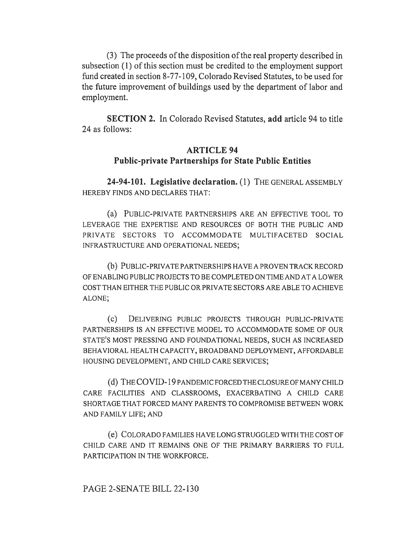(3) The proceeds of the disposition of the real property described in subsection (1) of this section must be credited to the employment support fund created in section 8-77-109, Colorado Revised Statutes, to be used for the future improvement of buildings used by the department of labor and employment.

SECTION 2. In Colorado Revised Statutes, add article 94 to title 24 as follows:

# ARTICLE 94 Public-private Partnerships for State Public Entities

24-94-101. Legislative declaration. (1) THE GENERAL ASSEMBLY HEREBY FINDS AND DECLARES THAT:

(a) PUBLIC-PRIVATE PARTNERSHIPS ARE AN EFFECTIVE TOOL TO LEVERAGE THE EXPERTISE AND RESOURCES OF BOTH THE PUBLIC AND PRIVATE SECTORS TO ACCOMMODATE MULTIFACETED SOCIAL INFRASTRUCTURE AND OPERATIONAL NEEDS;

(b) PUBLIC-PRIVATE PARTNERSHIPS HAVE A PROVEN TRACK RECORD OF ENABLING PUBLIC PROJECTS TO BE COMPLETED ON TIME AND AT A LOWER COST THAN EITHER THE PUBLIC OR PRIVATE SECTORS ARE ABLE TO ACHIEVE ALONE;

(c) DELIVERING PUBLIC PROJECTS THROUGH PUBLIC-PRIVATE PARTNERSHIPS IS AN EFFECTIVE MODEL TO ACCOMMODATE SOME OF OUR STATE'S MOST PRESSING AND FOUNDATIONAL NEEDS, SUCH AS INCREASED BEHAVIORAL HEALTH CAPACITY, BROADBAND DEPLOYMENT, AFFORDABLE HOUSING DEVELOPMENT, AND CHILD CARE SERVICES;

(d) THE COVID-19 PANDEMIC FORCED THE CLOSURE OF MANY CHILD CARE FACILITIES AND CLASSROOMS, EXACERBATING A CHILD CARE SHORTAGE THAT FORCED MANY PARENTS TO COMPROMISE BETWEEN WORK AND FAMILY LIFE; AND

(e) COLORADO FAMILIES HAVE LONG STRUGGLED WITH THE COST OF CHILD CARE AND IT REMAINS ONE OF THE PRIMARY BARRIERS TO FULL PARTICIPATION IN THE WORKFORCE.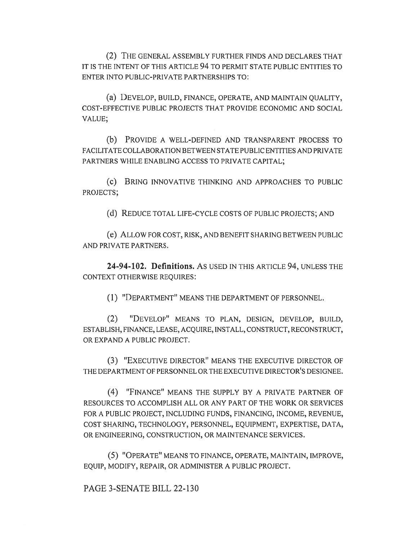(2) THE GENERAL ASSEMBLY FURTHER FINDS AND DECLARES THAT IT IS THE INTENT OF THIS ARTICLE 94 TO PERMIT STATE PUBLIC ENTITIES TO ENTER INTO PUBLIC-PRIVATE PARTNERSHIPS TO:

(a) DEVELOP, BUILD, FINANCE, OPERATE, AND MAINTAIN QUALITY, COST-EFFECTIVE PUBLIC PROJECTS THAT PROVIDE ECONOMIC AND SOCIAL VALUE;

(b) PROVIDE A WELL-DEFINED AND TRANSPARENT PROCESS TO FACILITATE COLLABORATION BETWEEN STATE PUBLIC ENTITIES AND PRIVATE PARTNERS WHILE ENABLING ACCESS TO PRIVATE CAPITAL;

(C) BRING INNOVATIVE THINKING AND APPROACHES TO PUBLIC PROJECTS;

(d) REDUCE TOTAL LIFE-CYCLE COSTS OF PUBLIC PROJECTS; AND

(e) ALLOW FOR COST, RISK, AND BENEFIT SHARING BETWEEN PUBLIC AND PRIVATE PARTNERS.

24-94-102. Definitions. AS USED IN THIS ARTICLE 94, UNLESS THE CONTEXT OTHERWISE REQUIRES:

(1) "DEPARTMENT" MEANS THE DEPARTMENT OF PERSONNEL.

(2) "DEVELOP" MEANS TO PLAN, DESIGN, DEVELOP, BUILD, ESTABLISH, FINANCE, LEASE, ACQUIRE, INSTALL, CONSTRUCT, RECONSTRUCT, OR EXPAND A PUBLIC PROJECT.

(3) "EXECUTIVE DIRECTOR" MEANS THE EXECUTIVE DIRECTOR OF THE DEPARTMENT OF PERSONNEL OR THE EXECUTIVE DIRECTOR'S DESIGNEE.

(4) "FINANCE" MEANS THE SUPPLY BY A PRIVATE PARTNER OF RESOURCES TO ACCOMPLISH ALL OR ANY PART OF THE WORK OR SERVICES FOR A PUBLIC PROJECT, INCLUDING FUNDS, FINANCING, INCOME, REVENUE, COST SHARING, TECHNOLOGY, PERSONNEL, EQUIPMENT, EXPERTISE, DATA, OR ENGINEERING, CONSTRUCTION, OR MAINTENANCE SERVICES.

(5) "OPERATE" MEANS TO FINANCE, OPERATE, MAINTAIN, IMPROVE, EQUIP, MODIFY, REPAIR, OR ADMINISTER A PUBLIC PROJECT.

PAGE 3-SENATE BILL 22-130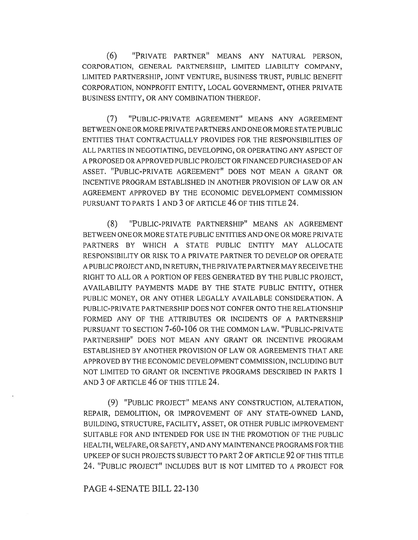(6) "PRIVATE PARTNER" MEANS ANY NATURAL PERSON, CORPORATION, GENERAL PARTNERSHIP, LIMITED LIABILITY COMPANY, LIMITED PARTNERSHIP, JOINT VENTURE, BUSINESS TRUST, PUBLIC BENEFIT CORPORATION, NONPROFIT ENTITY, LOCAL GOVERNMENT, OTHER PRIVATE BUSINESS ENTITY, OR ANY COMBINATION THEREOF.

(7) "PUBLIC-PRIVATE AGREEMENT" MEANS ANY AGREEMENT BETWEEN ONE OR MORE PRIVATE PARTNERS AND ONE OR MORE STATE PUBLIC ENTITIES THAT CONTRACTUALLY PROVIDES FOR THE RESPONSIBILITIES OF ALL PARTIES IN NEGOTIATING, DEVELOPING, OR OPERATING ANY ASPECT OF A PROPOSED OR APPROVED PUBLIC PROJECT OR FINANCED PURCHASED OF AN ASSET. "PUBLIC-PRIVATE AGREEMENT" DOES NOT MEAN A GRANT OR INCENTIVE PROGRAM ESTABLISHED IN ANOTHER PROVISION OF LAW OR AN AGREEMENT APPROVED BY THE ECONOMIC DEVELOPMENT COMMISSION PURSUANT TO PARTS 1 AND 3 OF ARTICLE 46 OF THIS TITLE 24.

(8) "PUBLIC-PRIVATE PARTNERSHIP" MEANS AN AGREEMENT BETWEEN ONE OR MORE STATE PUBLIC ENTITIES AND ONE OR MORE PRIVATE PARTNERS BY WHICH A STATE PUBLIC ENTITY MAY ALLOCATE RESPONSIBILITY OR RISK TO A PRIVATE PARTNER TO DEVELOP OR OPERATE A PUBLIC PROJECT AND, IN RETURN, THE PRIVATE PARTNER MAY RECEIVE THE RIGHT TO ALL OR A PORTION OF FEES GENERATED BY THE PUBLIC PROJECT, AVAILABILITY PAYMENTS MADE BY THE STATE PUBLIC ENTITY, OTHER PUBLIC MONEY, OR ANY OTHER LEGALLY AVAILABLE CONSIDERATION. A PUBLIC-PRIVATE PARTNERSHIP DOES NOT CONFER ONTO THE RELATIONSHIP FORMED ANY OF THE ATTRIBUTES OR INCIDENTS OF A PARTNERSHIP PURSUANT TO SECTION 7-60-106 OR THE COMMON LAW. "PUBLIC-PRIVATE PARTNERSHIP" DOES NOT MEAN ANY GRANT OR INCENTIVE PROGRAM ESTABLISHED BY ANOTHER PROVISION OF LAW OR AGREEMENTS THAT ARE APPROVED BY THE ECONOMIC DEVELOPMENT COMMISSION, INCLUDING BUT NOT LIMITED TO GRANT OR INCENTIVE PROGRAMS DESCRIBED IN PARTS 1 AND 3 OF ARTICLE 46 OF THIS TITLE 24.

(9) "PUBLIC PROJECT" MEANS ANY CONSTRUCTION, ALTERATION, REPAIR, DEMOLITION, OR IMPROVEMENT OF ANY STATE-OWNED LAND, BUILDING, STRUCTURE, FACILITY, ASSET, OR OTHER PUBLIC IMPROVEMENT SUITABLE FOR AND INTENDED FOR USE IN THE PROMOTION OF THE PUBLIC HEALTH, WELFARE, OR SAFETY, AND ANY MAINTENANCE PROGRAMS FOR THE UPKEEP OF SUCH PROJECTS SUBJECT TO PART 2 OF ARTICLE 92 OF THIS TITLE 24. "PUBLIC PROJECT" INCLUDES BUT IS NOT LIMITED TO A PROJECT FOR

## PAGE 4-SENATE BILL 22-130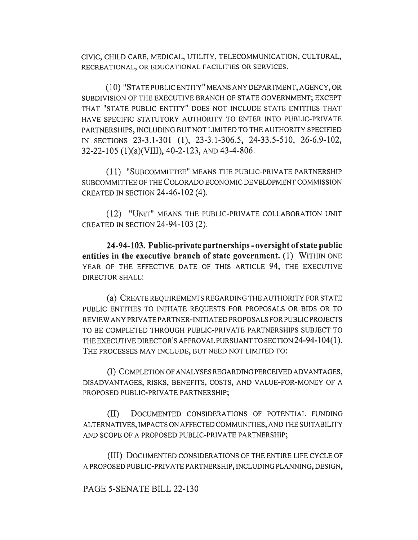CIVIC, CHILD CARE, MEDICAL, UTILITY, TELECOMMUNICATION, CULTURAL, RECREATIONAL, OR EDUCATIONAL FACILITIES OR SERVICES.

(10) "STATE PUBLIC ENTITY" MEANS ANY DEPARTMENT, AGENCY, OR SUBDIVISION OF THE EXECUTIVE BRANCH OF STATE GOVERNMENT; EXCEPT THAT "STATE PUBLIC ENTITY" DOES NOT INCLUDE STATE ENTITIES THAT HAVE SPECIFIC STATUTORY AUTHORITY TO ENTER INTO PUBLIC-PRIVATE PARTNERSHIPS, INCLUDING BUT NOT LIMITED TO THE AUTHORITY SPECIFIED IN SECTIONS 23-3.1-301 (1), 23-3.1-306.5, 24-33.5-510, 26-6.9-102, 32-22-105 (1)(a)(VIII), 40-2-123, AND 43-4-806.

(1 1) "SUBCOMMITTEE" MEANS THE PUBLIC-PRIVATE PARTNERSHIP SUBCOMMITTEE OF THE COLORADO ECONOMIC DEVELOPMENT COMMISSION CREATED IN SECTION 24-46-102 (4).

(12) "UNIT" MEANS THE PUBLIC-PRIVATE COLLABORATION UNIT CREATED IN SECTION 24-94-103 (2).

24-94-103. Public-private partnerships - oversight of state public entities in the executive branch of state government. (1) WITHIN ONE YEAR OF THE EFFECTIVE DATE OF THIS ARTICLE 94, THE EXECUTIVE DIRECTOR SHALL:

(a) CREATE REQUIREMENTS REGARDING THE AUTHORITY FOR STATE PUBLIC ENTITIES TO INITIATE REQUESTS FOR PROPOSALS OR BIDS OR TO REVIEW ANY PRIVATE PARTNER-INITIATED PROPOSALS FOR PUBLIC PROJECTS TO BE COMPLETED THROUGH PUBLIC-PRIVATE PARTNERSHIPS SUBJECT TO THE EXECUTIVE DIRECTOR'S APPROVAL PURSUANT TO SECTION 24-94-104(1). THE PROCESSES MAY INCLUDE, BUT NEED NOT LIMITED TO:

(I) COMPLETION OF ANALYSES REGARDING PERCEIVED ADVANTAGES, DISADVANTAGES, RISKS, BENEFITS, COSTS, AND VALUE-FOR-MONEY OF A PROPOSED PUBLIC-PRIVATE PARTNERSHIP;

(II) DOCUMENTED CONSIDERATIONS OF POTENTIAL FUNDING ALTERNATIVES, IMPACTS ON AFFECTED COMMUNITIES, AND THE SUITABILITY AND SCOPE OF A PROPOSED PUBLIC-PRIVATE PARTNERSHIP;

(III) DOCUMENTED CONSIDERATIONS OF THE ENTIRE LIFE CYCLE OF A PROPOSED PUBLIC-PRIVATE PARTNERSHIP, INCLUDING PLANNING, DESIGN,

PAGE 5-SENATE BILL 22-130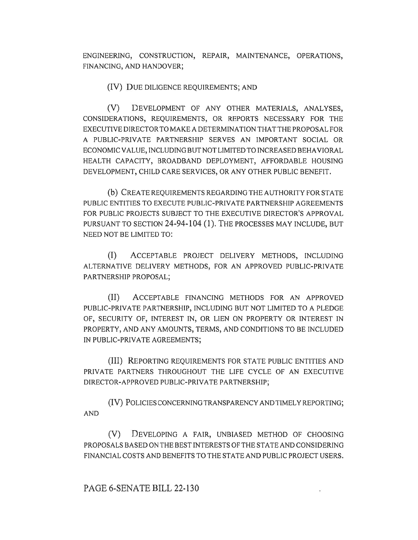ENGINEERING, CONSTRUCTION, REPAIR, MAINTENANCE, OPERATIONS, FINANCING, AND HANDOVER;

(IV) DUE DILIGENCE REQUIREMENTS; AND

(V) DEVELOPMENT OF ANY OTHER MATERIALS, ANALYSES, CONSIDERATIONS, REQUIREMENTS, OR REPORTS NECESSARY FOR THE EXECUTIVE DIRECTOR TO MAKE A DETERMINATION THAT THE PROPOSAL FOR A PUBLIC-PRIVATE PARTNERSHIP SERVES AN IMPORTANT SOCIAL OR ECONOMIC VALUE, INCLUDING BUT NOT LIMITED TO INCREASED BEHAVIORAL HEALTH CAPACITY, BROADBAND DEPLOYMENT, AFFORDABLE HOUSING DEVELOPMENT, CHILD CARE SERVICES, OR ANY OTHER PUBLIC BENEFIT.

(b) CREATE REQUIREMENTS REGARDING THE AUTHORITY FOR STATE PUBLIC ENTITIES TO EXECUTE PUBLIC-PRIVATE PARTNERSHIP AGREEMENTS FOR PUBLIC PROJECTS SUBJECT TO THE EXECUTIVE DIRECTOR'S APPROVAL PURSUANT TO SECTION 24-94-104 (1). THE PROCESSES MAY INCLUDE, BUT NEED NOT BE LIMITED TO:

(I) ACCEPTABLE PROJECT DELIVERY METHODS, INCLUDING ALTERNATIVE DELIVERY METHODS, FOR AN APPROVED PUBLIC-PRIVATE PARTNERSHIP PROPOSAL;

(II) ACCEPTABLE FINANCING METHODS FOR AN APPROVED PUBLIC-PRIVATE PARTNERSHIP, INCLUDING BUT NOT LIMITED TO A PLEDGE OF, SECURITY OF, INTEREST IN, OR LIEN ON PROPERTY OR INTEREST IN PROPERTY, AND ANY AMOUNTS, TERMS, AND CONDITIONS TO BE INCLUDED IN PUBLIC-PRIVATE AGREEMENTS;

(III) REPORTING REQUIREMENTS FOR STATE PUBLIC ENTITIES AND PRIVATE PARTNERS THROUGHOUT THE LIFE CYCLE OF AN EXECUTIVE DIRECTOR-APPROVED PUBLIC-PRIVATE PARTNERSHIP;

(IV) POLICIES CONCERNING TRANSPARENCY AND TIMELY REPORTING; AND

(V) DEVELOPING A FAIR, UNBIASED METHOD OF CHOOSING PROPOSALS BASED ON THE BEST INTERESTS OF THE STATE AND CONSIDERING FINANCIAL COSTS AND BENEFITS TO THE STATE AND PUBLIC PROJECT USERS.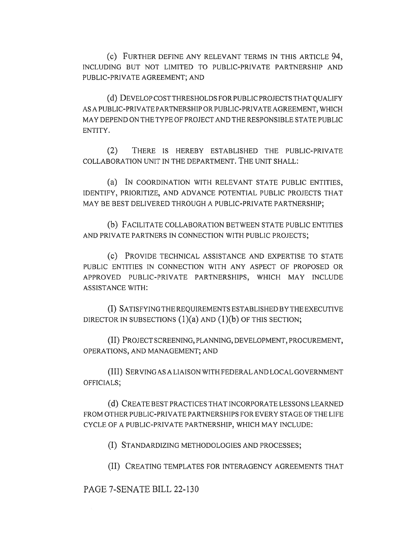(c) FURTHER DEFINE ANY RELEVANT TERMS IN THIS ARTICLE 94, INCLUDING BUT NOT LIMITED TO PUBLIC-PRIVATE PARTNERSHIP AND PUBLIC-PRIVATE AGREEMENT; AND

(d) DEVELOP COST THRESHOLDS FOR PUBLIC PROJECTS THAT QUALIFY AS A PUBLIC-PRIVATE PARTNERSHIP OR PUBLIC-PRIVATE AGREEMENT, WHICH MAY DEPEND ON THE TYPE OF PROJECT AND THE RESPONSIBLE STATE PUBLIC ENTITY.

(2) THERE IS HEREBY ESTABLISHED THE PUBLIC-PRIVATE COLLABORATION UNIT IN THE DEPARTMENT. THE UNIT SHALL:

(a) IN COORDINATION WITH RELEVANT STATE PUBLIC ENTITIES, IDENTIFY, PRIORITIZE, AND ADVANCE POTENTIAL PUBLIC PROJECTS THAT MAY BE BEST DELIVERED THROUGH A PUBLIC-PRIVATE PARTNERSHIP;

(b) FACILITATE COLLABORATION BETWEEN STATE PUBLIC ENTITIES AND PRIVATE PARTNERS IN CONNECTION WITH PUBLIC PROJECTS;

(c) PROVIDE TECHNICAL ASSISTANCE AND EXPERTISE TO STATE PUBLIC ENTITIES IN CONNECTION WITH ANY ASPECT OF PROPOSED OR APPROVED PUBLIC-PRIVATE PARTNERSHIPS, WHICH MAY INCLUDE ASSISTANCE WITH:

(I) SATISFYING THE REQUIREMENTS ESTABLISHED BY THE EXECUTIVE DIRECTOR IN SUBSECTIONS  $(1)(a)$  AND  $(1)(b)$  OF THIS SECTION;

(II) PROJECT SCREENING, PLANNING, DEVELOPMENT, PROCUREMENT, OPERATIONS, AND MANAGEMENT; AND

(III) SERVING AS A LIAISON WITH FEDERAL AND LOCAL GOVERNMENT OFFICIALS;

(d) CREATE BEST PRACTICES THAT INCORPORATE LESSONS LEARNED FROM OTHER PUBLIC-PRIVATE PARTNERSHIPS FOR EVERY STAGE OF THE LIFE CYCLE OF A PUBLIC-PRIVATE PARTNERSHIP, WHICH MAY INCLUDE:

(I) STANDARDIZING METHODOLOGIES AND PROCESSES;

(II) CREATING TEMPLATES FOR INTERAGENCY AGREEMENTS THAT

PAGE 7-SENATE BILL 22-130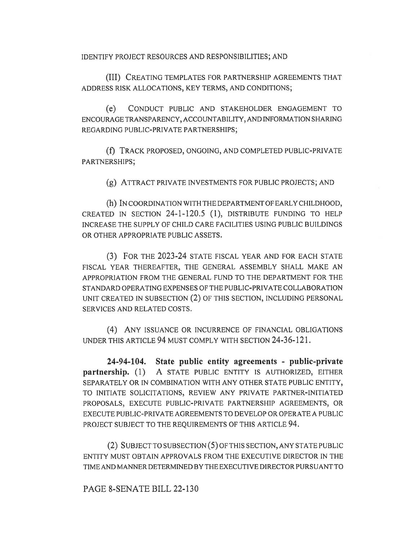IDENTIFY PROJECT RESOURCES AND RESPONSIBILITIES; AND

(III) CREATING TEMPLATES FOR PARTNERSHIP AGREEMENTS THAT ADDRESS RISK ALLOCATIONS, KEY TERMS, AND CONDITIONS;

(e) CONDUCT PUBLIC AND STAKEHOLDER ENGAGEMENT TO ENCOURAGE TRANSPARENCY, ACCOUNTABILITY, AND INFORMATION SHARING REGARDING PUBLIC-PRIVATE PARTNERSHIPS;

(f) TRACK PROPOSED, ONGOING, AND COMPLETED PUBLIC-PRIVATE PARTNERSHIPS;

(g) ATTRACT PRIVATE INVESTMENTS FOR PUBLIC PROJECTS; AND

(h) IN COORDINATION WITH THE DEPARTMENT OF EARLY CHILDHOOD, CREATED IN SECTION 24-1-120.5 (1), DISTRIBUTE FUNDING TO HELP INCREASE THE SUPPLY OF CHILD CARE FACILITIES USING PUBLIC BUILDINGS OR OTHER APPROPRIATE PUBLIC ASSETS.

(3) FOR THE 2023-24 STATE FISCAL YEAR AND FOR EACH STATE FISCAL YEAR THEREAFTER, THE GENERAL ASSEMBLY SHALL MAKE AN APPROPRIATION FROM THE GENERAL FUND TO THE DEPARTMENT FOR THE STANDARD OPERATING EXPENSES OF THE PUBLIC-PRIVATE COLLABORATION UNIT CREATED IN SUBSECTION (2) OF THIS SECTION, INCLUDING PERSONAL SERVICES AND RELATED COSTS.

(4) ANY ISSUANCE OR INCURRENCE OF FINANCIAL OBLIGATIONS UNDER THIS ARTICLE 94 MUST COMPLY WITH SECTION 24-36-121.

24-94-104. State public entity agreements - public-private partnership. (1) A STATE PUBLIC ENTITY IS AUTHORIZED, EITHER SEPARATELY OR IN COMBINATION WITH ANY OTHER STATE PUBLIC ENTITY, TO INITIATE SOLICITATIONS, REVIEW ANY PRIVATE PARTNER-INITIATED PROPOSALS, EXECUTE PUBLIC-PRIVATE PARTNERSHIP AGREEMENTS, OR EXECUTE PUBLIC-PRIVATE AGREEMENTS TO DEVELOP OR OPERATE A PUBLIC PROJECT SUBJECT TO THE REQUIREMENTS OF THIS ARTICLE 94.

(2) SUBJECT TO SUBSECTION (5) OF THIS SECTION, ANY STATE PUBLIC ENTITY MUST OBTAIN APPROVALS FROM THE EXECUTIVE DIRECTOR IN THE TIME AND MANNER DETERMINED BY THE EXECUTIVE DIRECTOR PURSUANT TO

PAGE 8-SENATE BILL 22-130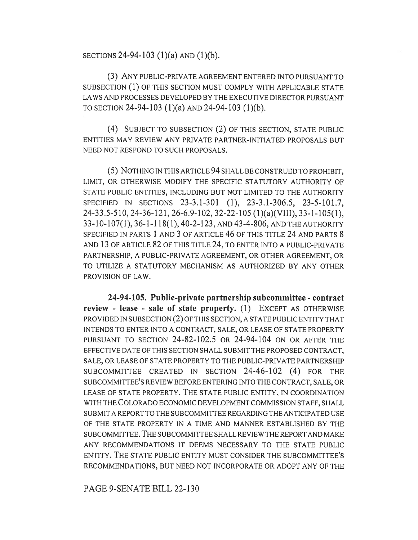SECTIONS 24-94-103 (1)(a) AND (1)(b).

(3) ANY PUBLIC-PRIVATE AGREEMENT ENTERED INTO PURSUANT TO SUBSECTION (1) OF THIS SECTION MUST COMPLY WITH APPLICABLE STATE LAWS AND PROCESSES DEVELOPED BY THE EXECUTIVE DIRECTOR PURSUANT TO SECTION 24-94-103 (1)(a) AND 24-94-103 (1)(b).

(4) SUBJECT TO SUBSECTION (2) OF THIS SECTION, STATE PUBLIC ENTITIES MAY REVIEW ANY PRIVATE PARTNER-INITIATED PROPOSALS BUT NEED NOT RESPOND TO SUCH PROPOSALS.

(5) NOTHING IN THIS ARTICLE 94 SHALL BE CONSTRUED TO PROHIBIT, LIMIT, OR OTHERWISE MODIFY THE SPECIFIC STATUTORY AUTHORITY OF STATE PUBLIC ENTITIES, INCLUDING BUT NOT LIMITED TO THE AUTHORITY SPECIFIED IN SECTIONS 23-3.1-301 (1), 23-3.1-306.5, 23-5-101.7, 24-33.5-510, 24-36-121, 26-6.9-102, 32-22-105 (1)(a)(VIII), 33-1-105(1), 33-10-107(1), 36-1-118(1), 40-2-123, AND 43-4-806, AND THE AUTHORITY SPECIFIED IN PARTS 1 AND 3 OF ARTICLE 46 OF THIS TITLE 24 AND PARTS 8 AND 13 OF ARTICLE 82 OF THIS TITLE 24, TO ENTER INTO A PUBLIC-PRIVATE PARTNERSHIP, A PUBLIC-PRIVATE AGREEMENT, OR OTHER AGREEMENT, OR TO UTILIZE A STATUTORY MECHANISM AS AUTHORIZED BY ANY OTHER PROVISION OF LAW.

24-94-105. Public-private partnership subcommittee - contract review - lease - sale of state property. (1) EXCEPT AS OTHERWISE PROVIDED IN SUBSECTION (2) OF THIS SECTION, A STATE PUBLIC ENTITY THAT INTENDS TO ENTER INTO A CONTRACT, SALE, OR LEASE OF STATE PROPERTY PURSUANT TO SECTION 24-82-102.5 OR 24-94-104 ON OR AFTER THE EFFECTIVE DATE OF THIS SECTION SHALL SUBMIT THE PROPOSED CONTRACT, SALE, OR LEASE OF STATE PROPERTY TO THE PUBLIC-PRIVATE PARTNERSHIP SUBCOMMITTEE CREATED IN SECTION 24-46-102 (4) FOR THE SUBCOMMITTEE'S REVIEW BEFORE ENTERING INTO THE CONTRACT, SALE, OR LEASE OF STATE PROPERTY. THE STATE PUBLIC ENTITY, IN COORDINATION WITH THE COLORADO ECONOMIC DEVELOPMENT COMMISSION STAFF, SHALL SUBMIT A REPORT TO THE SUBCOMMITTEE REGARDING THE ANTICIPATED USE OF THE STATE PROPERTY IN A TIME AND MANNER ESTABLISHED BY THE SUBCOMMITTEE. THE SUBCOMMITTEE SHALL REVIEW THE REPORT AND MAKE ANY RECOMMENDATIONS IT DEEMS NECESSARY TO THE STATE PUBLIC ENTITY. THE STATE PUBLIC ENTITY MUST CONSIDER THE SUBCOMMITTEE'S RECOMMENDATIONS, BUT NEED NOT INCORPORATE OR ADOPT ANY OF THE

PAGE 9-SENATE BILL 22-130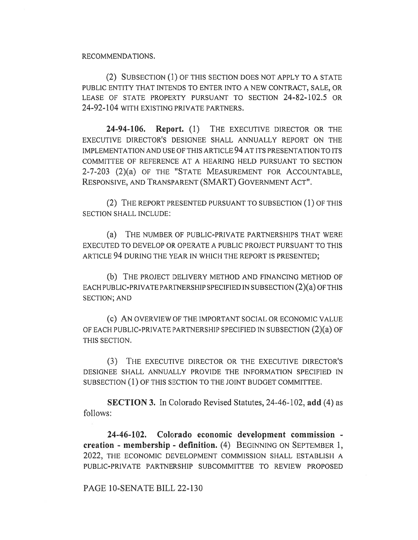#### RECOMMENDATIONS.

(2) SUBSECTION (1) OF THIS SECTION DOES NOT APPLY TO A STATE PUBLIC ENTITY THAT INTENDS TO ENTER INTO A NEW CONTRACT, SALE, OR LEASE OF STATE PROPERTY PURSUANT TO SECTION 24-82-102.5 OR 24-92-104 WITH EXISTING PRIVATE PARTNERS.

24-94-106. Report. (1) THE EXECUTIVE DIRECTOR OR THE EXECUTIVE DIRECTOR'S DESIGNEE SHALL ANNUALLY REPORT ON THE IMPLEMENTATION AND USE OF THIS ARTICLE 94 AT ITS PRESENTATION TO ITS COMMITTEE OF REFERENCE AT A HEARING HELD PURSUANT TO SECTION 2-7-203 (2)(a) OF THE "STATE MEASUREMENT FOR ACCOUNTABLE, RESPONSIVE, AND TRANSPARENT (SMART) GOVERNMENT ACT".

(2) THE REPORT PRESENTED PURSUANT TO SUBSECTION (1) OF THIS SECTION SHALL INCLUDE:

(a) THE NUMBER OF PUBLIC-PRIVATE PARTNERSHIPS THAT WERE EXECUTED TO DEVELOP OR OPERATE A PUBLIC PROJECT PURSUANT TO THIS ARTICLE 94 DURING THE YEAR IN WHICH THE REPORT IS PRESENTED;

(b) THE PROJECT DELIVERY METHOD AND FINANCING METHOD OF EACH PUBLIC-PRIVATE PARTNERSHIP SPECIFIED IN SUBSECTION (2)(a) OF THIS SECTION; AND

(C) AN OVERVIEW OF THE IMPORTANT SOCIAL OR ECONOMIC VALUE OF EACH PUBLIC-PRIVATE PARTNERSHIP SPECIFIED IN SUBSECTION (2)(a) OF THIS SECTION.

(3) THE EXECUTIVE DIRECTOR OR THE EXECUTIVE DIRECTOR'S DESIGNEE SHALL ANNUALLY PROVIDE THE INFORMATION SPECIFIED IN SUBSECTION (1) OF THIS SECTION TO THE JOINT BUDGET COMMITTEE.

SECTION 3. In Colorado Revised Statutes, 24-46-102, add (4) as follows:

24-46-102. Colorado economic development commission creation - membership - definition. (4) BEGINNING ON SEPTEMBER 1, 2022, THE ECONOMIC DEVELOPMENT COMMISSION SHALL ESTABLISH A PUBLIC-PRIVATE PARTNERSHIP SUBCOMMITTEE TO REVIEW PROPOSED

## PAGE 10-SENATE BILL 22-130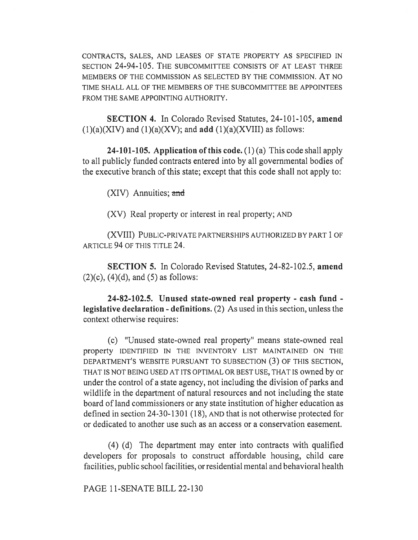CONTRACTS, SALES, AND LEASES OF STATE PROPERTY AS SPECIFIED IN SECTION 24-94-105. THE SUBCOMMITTEE CONSISTS OF AT LEAST THREE MEMBERS OF THE COMMISSION AS SELECTED BY THE COMMISSION. AT NO TIME SHALL ALL OF THE MEMBERS OF THE SUBCOMMITTEE BE APPOINTEES FROM THE SAME APPOINTING AUTHORITY.

SECTION 4. In Colorado Revised Statutes, 24-101-105, amend  $(1)(a)(XIV)$  and  $(1)(a)(XV)$ ; and add  $(1)(a)(XVIII)$  as follows:

**24-101-105.** Application of this code.  $(1)(a)$  This code shall apply to all publicly funded contracts entered into by all governmental bodies of the executive branch of this state; except that this code shall not apply to:

(XIV) Annuities; and

(XV) Real property or interest in real property; AND

(XVIII) PUBLIC-PRIVATE PARTNERSHIPS AUTHORIZED BY PART 1 OF ARTICLE 94 OF THIS TITLE 24.

SECTION 5. In Colorado Revised Statutes, 24-82-102.5, amend  $(2)(c)$ ,  $(4)(d)$ , and  $(5)$  as follows:

24-82-102.5. Unused state-owned real property - cash fund legislative declaration - definitions. (2) As used in this section, unless the context otherwise requires:

(c) "Unused state-owned real property" means state-owned real property IDENTIFIED IN THE INVENTORY LIST MAINTAINED ON THE DEPARTMENT'S WEBSITE PURSUANT TO SUBSECTION (3) OF THIS SECTION, THAT IS NOT BEING USED AT ITS OPTIMAL OR BEST USE, THAT IS owned by or under the control of a state agency, not including the division of parks and wildlife in the department of natural resources and not including the state board of land commissioners or any state institution of higher education as defined in section 24-30-1301 (18), AND that is not otherwise protected for or dedicated to another use such as an access or a conservation easement.

(4) (d) The department may enter into contracts with qualified developers for proposals to construct affordable housing, child care facilities, public school facilities, or residential mental and behavioral health

PAGE 11-SENATE BILL 22-130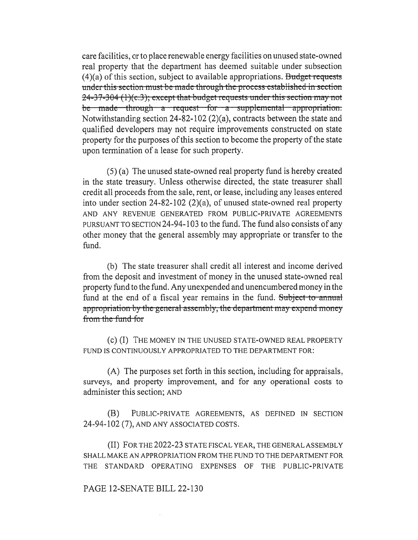care facilities, or to place renewable energy facilities on unused state-owned real property that the department has deemed suitable under subsection  $(4)(a)$  of this section, subject to available appropriations. Budget requests under this-section-must be-made-through the-process-established-in-section-24-37-304 (1)(c.3); except that budget requests under this section may not be made through a request for a supplemental appropriation. Notwithstanding section 24-82-102 (2)(a), contracts between the state and qualified developers may not require improvements constructed on state property for the purposes of this section to become the property of the state upon termination of a lease for such property.

(5) (a) The unused state-owned real property fund is hereby created in the state treasury. Unless otherwise directed, the state treasurer shall credit all proceeds from the sale, rent, or lease, including any leases entered into under section 24-82-102 (2)(a), of unused state-owned real property AND ANY REVENUE GENERATED FROM PUBLIC-PRIVATE AGREEMENTS PURSUANT TO SECTION 24-94-103 to the fund. The fund also consists of any other money that the general assembly may appropriate or transfer to the fund.

(b) The state treasurer shall credit all interest and income derived from the deposit and investment of money in the unused state-owned real property fund to the fund. Any unexpended and unencumbered money in the fund at the end of a fiscal year remains in the fund. Subject to annual appropriation by the general-assembly, the department may expend-money from the fund-for

(C) (I) THE MONEY IN THE UNUSED STATE-OWNED REAL PROPERTY FUND IS CONTINUOUSLY APPROPRIATED TO THE DEPARTMENT FOR:

(A) The purposes set forth in this section, including for appraisals, surveys, and property improvement, and for any operational costs to administer this section; AND

(B) PUBLIC-PRIVATE AGREEMENTS, AS DEFINED IN SECTION 24-94-102 (7), AND ANY ASSOCIATED COSTS.

(II) FOR THE 2022-23 STATE FISCAL YEAR, THE GENERAL ASSEMBLY SHALL MAKE AN APPROPRIATION FROM THE FUND TO THE DEPARTMENT FOR THE STANDARD OPERATING EXPENSES OF THE PUBLIC-PRIVATE

### PAGE 12-SENATE BILL 22-130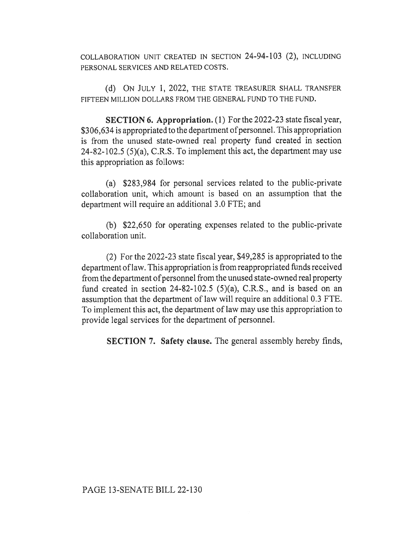COLLABORATION UNIT CREATED IN SECTION 24-94-103 (2), INCLUDING PERSONAL SERVICES AND RELATED COSTS.

(d) ON JULY 1, 2022, THE STATE TREASURER SHALL TRANSFER FIFTEEN MILLION DOLLARS FROM THE GENERAL FUND TO THE FUND.

SECTION 6. Appropriation. (1) For the 2022-23 state fiscal year, \$306,634 is appropriated to the department of personnel. This appropriation is from the unused state-owned real property fund created in section 24-82-102.5 (5)(a), C.R.S. To implement this act, the department may use this appropriation as follows:

(a) \$283,984 for personal services related to the public-private collaboration unit, which amount is based on an assumption that the department will require an additional 3.0 FTE; and

(b) \$22,650 for operating expenses related to the public-private collaboration unit.

(2) For the 2022-23 state fiscal year, \$49,285 is appropriated to the department of law. This appropriation is from reappropriated funds received from the department of personnel from the unused state-owned real property fund created in section 24-82-102.5 (5)(a), C.R.S., and is based on an assumption that the department of law will require an additional 0.3 FTE. To implement this act, the department of law may use this appropriation to provide legal services for the department of personnel.

SECTION 7. Safety clause. The general assembly hereby finds,